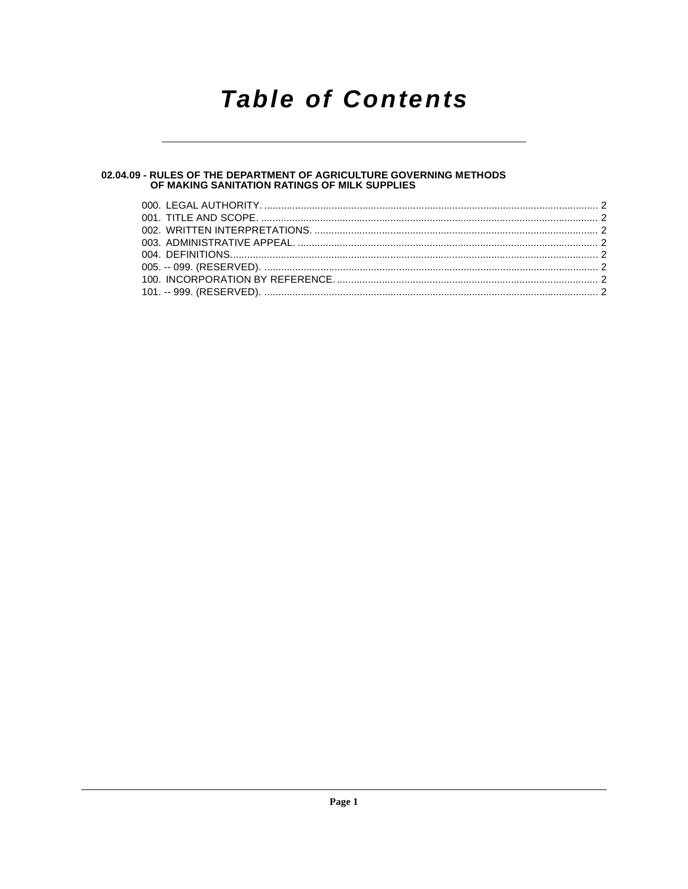## **Table of Contents**

### 02.04.09 - RULES OF THE DEPARTMENT OF AGRICULTURE GOVERNING METHODS<br>OF MAKING SANITATION RATINGS OF MILK SUPPLIES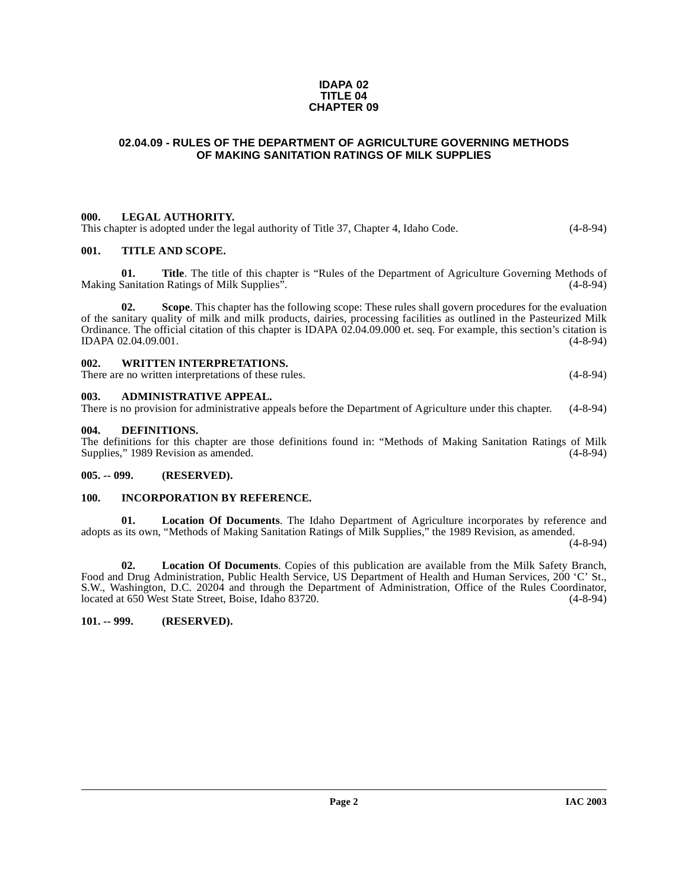#### **IDAPA 02 TITLE 04 CHAPTER 09**

#### <span id="page-1-0"></span>**02.04.09 - RULES OF THE DEPARTMENT OF AGRICULTURE GOVERNING METHODS OF MAKING SANITATION RATINGS OF MILK SUPPLIES**

#### <span id="page-1-1"></span>**000. LEGAL AUTHORITY.**

This chapter is adopted under the legal authority of Title 37, Chapter 4, Idaho Code. (4-8-94)

#### <span id="page-1-2"></span>**001. TITLE AND SCOPE.**

**01.** Title. The title of this chapter is "Rules of the Department of Agriculture Governing Methods of Sanitation Ratings of Milk Supplies". (4-8-94) Making Sanitation Ratings of Milk Supplies".

**Scope**. This chapter has the following scope: These rules shall govern procedures for the evaluation of the sanitary quality of milk and milk products, dairies, processing facilities as outlined in the Pasteurized Milk Ordinance. The official citation of this chapter is IDAPA 02.04.09.000 et. seq. For example, this section's citation is IDAPA 02.04.09.001. (4-8-94)

#### <span id="page-1-3"></span>**002. WRITTEN INTERPRETATIONS.** There are no written interpretations of these rules. (4-8-94)

#### <span id="page-1-4"></span>**003. ADMINISTRATIVE APPEAL.**

There is no provision for administrative appeals before the Department of Agriculture under this chapter. (4-8-94)

#### <span id="page-1-9"></span><span id="page-1-5"></span>**004. DEFINITIONS.**

The definitions for this chapter are those definitions found in: "Methods of Making Sanitation Ratings of Milk Supplies," 1989 Revision as amended.

#### <span id="page-1-6"></span>**005. -- 099. (RESERVED).**

#### <span id="page-1-7"></span>**100. INCORPORATION BY REFERENCE.**

**01. Location Of Documents**. The Idaho Department of Agriculture incorporates by reference and adopts as its own, "Methods of Making Sanitation Ratings of Milk Supplies," the 1989 Revision, as amended.

(4-8-94)

**02. Location Of Documents**. Copies of this publication are available from the Milk Safety Branch, Food and Drug Administration, Public Health Service, US Department of Health and Human Services, 200 'C' St., S.W., Washington, D.C. 20204 and through the Department of Administration, Office of the Rules Coordinator, located at 650 West State Street, Boise, Idaho 83720.

#### <span id="page-1-8"></span>**101. -- 999. (RESERVED).**